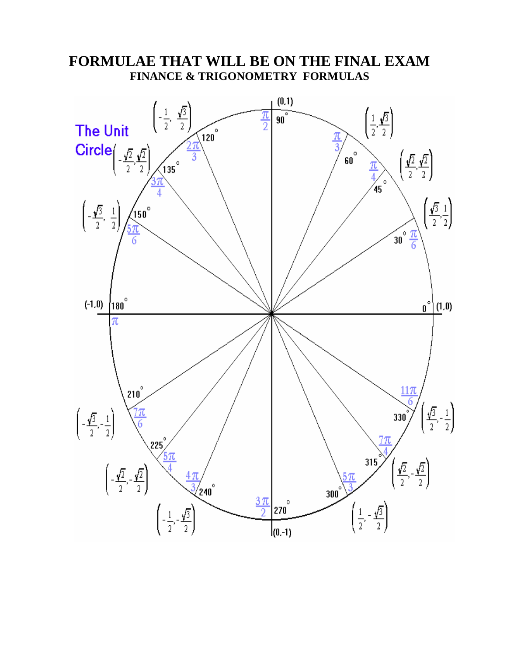

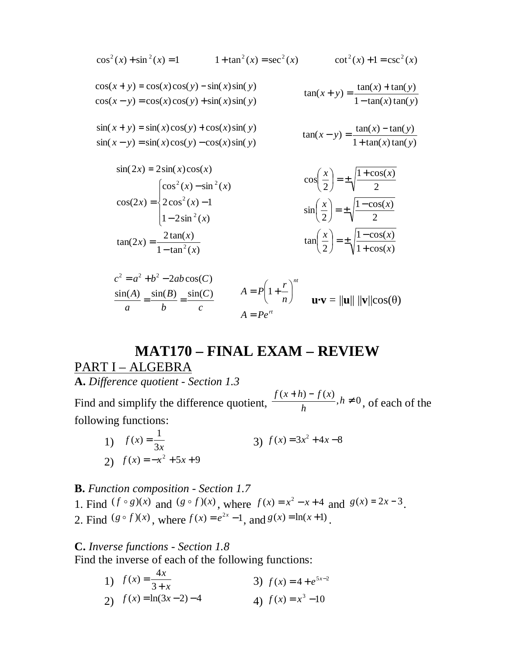$$
\cos^{2}(x) + \sin^{2}(x) = 1 \qquad 1 + \tan^{2}(x) = \sec^{2}(x) \qquad \cot^{2}(x) + 1 = \csc^{2}(x)
$$
  
\n
$$
\cos(x + y) = \cos(x)\cos(y) - \sin(x)\sin(y) \qquad \tan(x + y) = \frac{\tan(x) + \tan(y)}{1 - \tan(x)\tan(y)} \qquad \sin(x + y) = \sin(x)\cos(y) + \cos(x)\sin(y) \qquad \tan(x - y) = \frac{\tan(x) - \tan(y)}{1 + \tan(x)\tan(y)} \qquad \sin(x - y) = \sin(x)\cos(y) - \cos(x)\sin(y) \qquad \tan(x - y) = \frac{\tan(x) - \tan(y)}{1 + \tan(x)\tan(y)} \qquad \sin(x - y) = \frac{\cos(x) - \cos(x)\sin(y)}{1 + \cos(x) - \cos(x)\sin(y)} \qquad \sin(x - y) = \frac{\cos(x) - \cos(x)\sin(y)}{1 + \cos(x) - \cos(x)\sin(y)} \qquad \cos(x - y) = \frac{\cos(x) - \cos(x)\sin(y)}{1 + \cos(x) - \cos(x)\sin(y)} \qquad \cos(x - y) = \frac{\cos(x) - \cos(x)\sin(y)}{1 + \cos(x) - \cos(x)\sin(y)} \qquad \cos(x - y) = \frac{\cos(x) - \cos(x)\sin(y)}{1 + \cos(x) - \cos(x)\sin(y)} \qquad \cos(x - y) = \frac{\cos(x) - \cos(x)\sin(y)}{1 + \cos(x) - \cos(x)\sin(y)} \qquad \cos(x - y) = \frac{\cos(x) - \cos(x)\sin(y)}{1 + \cos(x) - \cos(x)\sin(y)} \qquad \cos(x - y) = \frac{\cos(x) - \cos(x)\cos(y)}{1 + \cos(x) - \cos(x)\sin(y)} \qquad \cos(x - y) = \frac{\cos(x) - \cos(x)\sin(y)}{1 + \cos(x) - \cos(x)\sin(y)} \qquad \cos(x - y) = \frac{\cos(x) - \cos(x)\sin(y)}{1 + \cos(x) - \cos(x)\sin(y)} \qquad \cos(x - y) = \frac{\cos(x) - \cos(x)\sin(y)}{1 + \cos(x) - \cos(x)\sin(y)} \qquad \cos(x - y) = \frac{\cos(x) - \cos(x)\sin(y)}{1 + \cos(x) - \cos(x)\sin(y)} \qquad \cos(x - y) = \frac{\cos(x) - \cos(x)\sin(y)}{1 + \cos(x) - \cos(x)\sin(y)} \qquad \cos(x - y) = \frac{\cos(x) -
$$

$$
\sin(2x) = 2\sin(x)\cos(x)
$$
  
\n
$$
\cos(2x) = \begin{cases}\n\cos^2(x) - \sin^2(x) & \cos\left(\frac{x}{2}\right) = \pm\sqrt{\frac{1 + \cos(x)}{2}} \\
2\cos^2(x) - 1 & \sin\left(\frac{x}{2}\right) = \pm\sqrt{\frac{1 - \cos(x)}{2}} \\
1 - 2\sin^2(x) & \tan\left(\frac{x}{2}\right) = \pm\sqrt{\frac{1 - \cos(x)}{1 + \cos(x)}}\n\end{cases}
$$

$$
\frac{\sin(A)}{a} = \frac{\sin(B)}{b} = \frac{\sin(C)}{c}
$$
  

$$
A = P\left(1 + \frac{r}{n}\right)^{nt}
$$
  

$$
A = Pe^{rt}
$$
  

$$
A = Pe^{rt}
$$
  

$$
u \cdot v = ||u|| ||v|| \cos(\theta)
$$

## **MAT170 – FINAL EXAM – REVIEW** PART I - ALGEBRA

**A.** *Difference quotient - Section 1.3* 

Find and simplify the difference quotient,  $\frac{f(x+h)-f(x)}{h}$ ,  $h \neq 0$ *h*  $f(x+h) - f(x)$ , of each of the following functions:

1)  $f(x) = \frac{1}{3x}$ *f x* 3 1  $f(x) = \frac{1}{3x}$  <br>3)  $f(x) = 3x^2 + 4x - 8$ 2)  $f(x) = -x^2 + 5x + 9$ 

### **B.** *Function composition - Section 1.7*

1. Find  $(f \circ g)(x)$  and  $(g \circ f)(x)$ , where  $f(x) = x^2 - x + 4$  and  $g(x) = 2x - 3$ . 2. Find  $(g \circ f)(x)$ , where  $f(x) = e^{2x} - 1$ , and  $g(x) = \ln(x+1)$ .

**C.** *Inverse functions - Section 1.8* 

Find the inverse of each of the following functions:

1)  $f(x) = \frac{1}{3+x}$  $f(x) = \frac{4x}{2}$ + = 3  $f(x) = \frac{4}{2}$ 3)  $f(x) = 4 + e^{5x-2}$ 2)  $f(x) = \ln(3x - 2) - 4$ *4*)  $f(x) = x^3 - 10$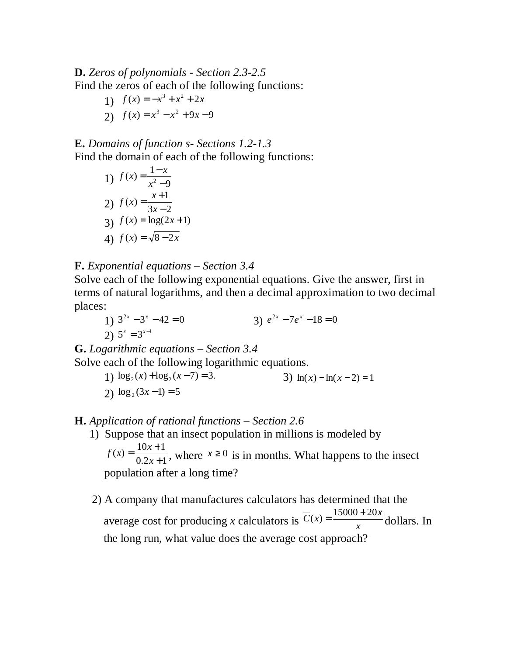**D.** *Zeros of polynomials - Section 2.3-2.5*  Find the zeros of each of the following functions:

1) 
$$
f(x) = -x^3 + x^2 + 2x
$$
  
2)  $f(x) = x^3 - x^2 + 9x - 9$ 

## **E.** *Domains of function s- Sections 1.2-1.3*

Find the domain of each of the following functions:

1) 
$$
f(x) = \frac{1-x}{x^2-9}
$$
  
\n2)  $f(x) = \frac{x+1}{3x-2}$   
\n3)  $f(x) = \log(2x+1)$   
\n4)  $f(x) = \sqrt{8-2x}$ 

### **F.** *Exponential equations – Section 3.4*

Solve each of the following exponential equations. Give the answer, first in terms of natural logarithms, and then a decimal approximation to two decimal places:

1)  $3^{2x} - 3^x - 42 = 0$ 3)  $e^{2x} - 7e^x - 18 = 0$ 2)  $5^x = 3^{x-1}$ 

**G.** *Logarithmic equations – Section 3.4* 

Solve each of the following logarithmic equations.

1)  $\log_2(x) + \log_2(x-7) = 3.$  <br>3)  $\ln(x) - \ln(x-2) = 1$ 2)  $\log_2(3x-1) = 5$ 

## **H.** *Application of rational functions – Section 2.6*

1) Suppose that an insect population in millions is modeled by

 $0.2x + 1$  $f(x) = \frac{10x+1}{2}$ +  $=\frac{10x+}{2}$ *x*  $f(x) = \frac{10x+1}{0.2x+1}$ , where  $x \ge 0$  is in months. What happens to the insect population after a long time?

 2) A company that manufactures calculators has determined that the average cost for producing *x* calculators is  $C(x) = \frac{x^2 + 4}{x^2}$  $\overline{C}(x) = \frac{15000 + 20x}{x}$  dollars. In the long run, what value does the average cost approach?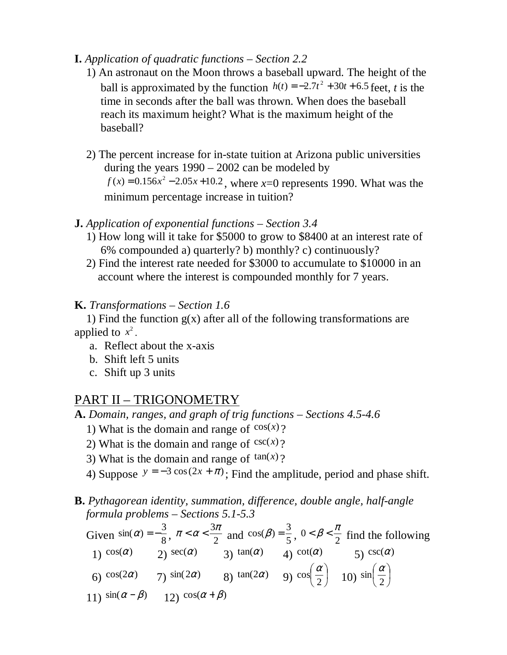### **I.** *Application of quadratic functions – Section 2.2*

- 1) An astronaut on the Moon throws a baseball upward. The height of the ball is approximated by the function  $h(t) = -2.7t^2 + 30t + 6.5$  feet, *t* is the time in seconds after the ball was thrown. When does the baseball reach its maximum height? What is the maximum height of the baseball?
	- 2) The percent increase for in-state tuition at Arizona public universities during the years  $1990 - 2002$  can be modeled by  $f(x) = 0.156x^2 - 2.05x + 10.2$ , where  $x=0$  represents 1990. What was the minimum percentage increase in tuition?

#### **J.** *Application of exponential functions – Section 3.4*

- 1) How long will it take for \$5000 to grow to \$8400 at an interest rate of 6% compounded a) quarterly? b) monthly? c) continuously?
- 2) Find the interest rate needed for \$3000 to accumulate to \$10000 in an account where the interest is compounded monthly for 7 years.

### **K.** *Transformations – Section 1.6*

1) Find the function  $g(x)$  after all of the following transformations are applied to  $x^2$ .

- a. Reflect about the x-axis
- b. Shift left 5 units
- c. Shift up 3 units

## PART II – TRIGONOMETRY

**A.** *Domain, ranges, and graph of trig functions – Sections 4.5-4.6* 

- 1) What is the domain and range of  $cos(x)$ ?
- 2) What is the domain and range of  $csc(x)$ ?
- 3) What is the domain and range of  $tan(x)$ ?
- 4) Suppose  $y = -3 \cos(2x + \pi)$ ; Find the amplitude, period and phase shift.

## **B.** *Pythagorean identity, summation, difference, double angle, half-angle formula problems – Sections 5.1-5.3*

Given  $\sin(\alpha) = -\frac{1}{8}$  $\sin(\alpha) = -\frac{3}{8}, \ \pi < \alpha < \frac{3\pi}{2}$  and  $\cos(\beta) = \frac{3}{5}, \ 0 < \beta < \frac{\pi}{2}$  find the following 1) cos( $\alpha$ ) 2) sec( $\alpha$ ) 3) tan( $\alpha$ ) 4) cot( $\alpha$ ) 5) csc( $\alpha$ ) 6) cos(2α) 7) sin(2α) 8) tan(2α) 9) cos $\left(\frac{\alpha}{2}\right)$  $\left(\frac{\alpha}{\alpha}\right)$ l ſ 2  $cos\left(\frac{\alpha}{2}\right)$  10)  $sin\left(\frac{\alpha}{2}\right)$  $\left(\frac{\alpha}{\alpha}\right)$ l ſ 2  $\sin\left(\frac{\alpha}{2}\right)$ 11)  $\sin(\alpha - \beta)$  12)  $\cos(\alpha + \beta)$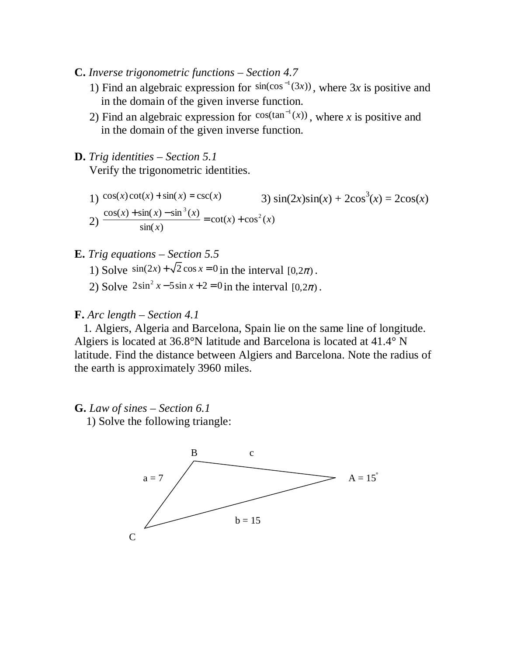- **C.** *Inverse trigonometric functions Section 4.7* 
	- 1) Find an algebraic expression for  $sin(cos^{-1}(3x))$ , where 3x is positive and in the domain of the given inverse function.
	- 2) Find an algebraic expression for  $cos(tan^{-1}(x))$ , where *x* is positive and in the domain of the given inverse function.
- **D.** *Trig identities Section 5.1*  Verify the trigonometric identities.

1) 
$$
cos(x)cot(x) + sin(x) = csc(x)
$$
  
\n2)  $\frac{cos(x) + sin(x) - sin^3(x)}{sin(x)} = cot(x) + cos^2(x)$   
\n3)  $sin(2x)sin(x) + 2cos^3(x) = 2cos(x)$ 

#### **E.** *Trig equations – Section 5.5*

- 1) Solve  $\sin(2x) + \sqrt{2}\cos x = 0$  in the interval  $[0, 2\pi)$ .
- 2) Solve  $2\sin^2 x 5\sin x + 2 = 0$  in the interval  $[0, 2\pi)$ .

#### **F.** *Arc length – Section 4.1*

1. Algiers, Algeria and Barcelona, Spain lie on the same line of longitude. Algiers is located at 36.8°N latitude and Barcelona is located at 41.4° N latitude. Find the distance between Algiers and Barcelona. Note the radius of the earth is approximately 3960 miles.

### **G.** *Law of sines – Section 6.1*

1) Solve the following triangle:

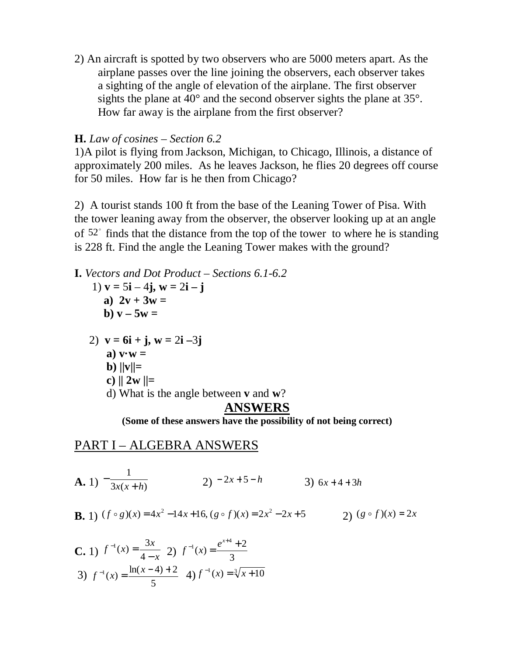2) An aircraft is spotted by two observers who are 5000 meters apart. As the airplane passes over the line joining the observers, each observer takes a sighting of the angle of elevation of the airplane. The first observer sights the plane at  $40^{\circ}$  and the second observer sights the plane at  $35^{\circ}$ . How far away is the airplane from the first observer?

### **H.** *Law of cosines – Section 6.2*

1)A pilot is flying from Jackson, Michigan, to Chicago, Illinois, a distance of approximately 200 miles. As he leaves Jackson, he flies 20 degrees off course for 50 miles. How far is he then from Chicago?

2)A tourist stands 100 ft from the base of the Leaning Tower of Pisa. With the tower leaning away from the observer, the observer looking up at an angle of  $52^{\circ}$  finds that the distance from the top of the tower to where he is standing is 228 ft. Find the angle the Leaning Tower makes with the ground?

**I.** *Vectors and Dot Product – Sections 6.1-6.2* 

- **1**)  $v = 5i 4j$ ,  $w = 2i j$ a)  $2v + 3w =$ **b**)  $v - 5w =$
- 2) **v = 6i + j, w =** 2**i –**3**j** 
	- a)  $\mathbf{v} \cdot \mathbf{w} =$
	- **b**)  $\|\mathbf{v}\|$ =

c) 
$$
||2w||=
$$

d) What is the angle between **v** and **w**?

## **ANSWERS**

**(Some of these answers have the possibility of not being correct)**

## PART I – ALGEBRA ANSWERS

**A.** 1) 
$$
-\frac{1}{3x(x+h)}
$$
 2)  $-2x+5-h$  3)  $6x+4+3h$ 

**B.** 1) 
$$
(f \circ g)(x) = 4x^2 - 14x + 16
$$
,  $(g \circ f)(x) = 2x^2 - 2x + 5$  2)  $(g \circ f)(x) = 2x$ 

C. 1) 
$$
f^{-1}(x) = \frac{3x}{4-x}
$$
 2)  $f^{-1}(x) = \frac{e^{x+4} + 2}{3}$   
3)  $f^{-1}(x) = \frac{\ln(x-4) + 2}{5}$  4)  $f^{-1}(x) = \sqrt[3]{x+10}$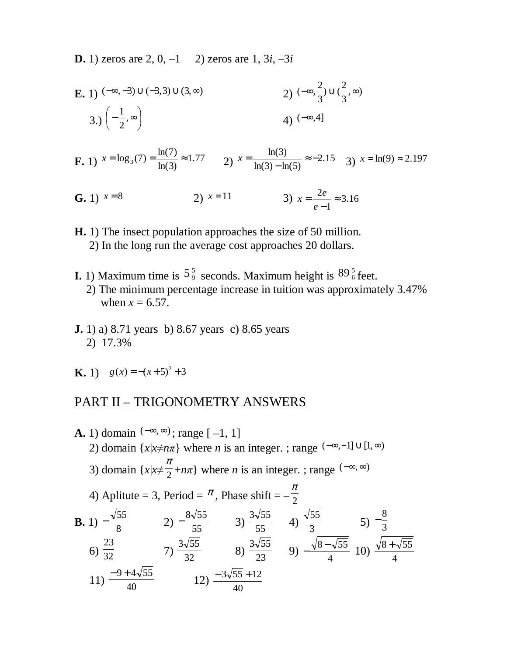**D.** 1) zeros are 2, 0,  $-1$  2) zeros are 1,  $3i$ ,  $-3i$ 

**E.** 1) 
$$
(-\infty, -3) \cup (-3, 3) \cup (3, \infty)
$$
  
\n2)  $(-\infty, \frac{2}{3}) \cup (\frac{2}{3}, \infty)$   
\n3.)  $\left(-\frac{1}{2}, \infty\right)$   
\n4)  $(-\infty, 4]$ 

**F.** 1)  $x = \log_3(7) = \frac{\ln(7)}{\ln(3)} \approx 1.77$  $x = \log_3(7) = \frac{\ln(7)}{\ln(3)} \approx 1.77$  2)  $x = \frac{\ln(3)}{\ln(3) - \ln(5)} \approx -2.15$  $\frac{\ln(3)}{2} \approx$  $x = {m(9) \over ln(3) - ln(5)} \approx -2.15$  3)  $x = ln(9) \approx 2.197$ 

- **G.** 1)  $x=8$  2)  $x=11$ 1  $\frac{2e}{1}$   $\approx$ − = *e*  $x = \frac{2e}{ }$
- **H.** 1) The insect population approaches the size of 50 million. 2) In the long run the average cost approaches 20 dollars.
- **I.** 1) Maximum time is  $5\frac{5}{9}$  seconds. Maximum height is  $89\frac{5}{6}$  feet. 2) The minimum percentage increase in tuition was approximately 3.47% when  $x = 6.57$ .
- **J. 1**) a) 8.71 years b) 8.67 years c) 8.65 years 2) 17.3%
- **K.** 1)  $g(x) = -(x+5)^2 + 3$

# PART II – TRIGONOMETRY ANSWERS

**A.** 1) domain (
$$
-\infty, \infty
$$
); range [-1, 1]  
\n2) domain { $x|x \neq n\pi$ } where *n* is an integer. ; range ( $-\infty, -1$ ]  $\cup$  [1, $\infty$ )  
\n3) domain { $x|x \neq \frac{\pi}{2} + n\pi$ } where *n* is an integer. ; range ( $-\infty, \infty$ )  
\n4) Aplitute = 3, Period =  $\pi$ , Phase shift =  $-\frac{\pi}{2}$   
\n**B.** 1)  $-\frac{\sqrt{55}}{8}$  2)  $-\frac{8\sqrt{55}}{55}$  3)  $\frac{3\sqrt{55}}{55}$  4)  $\frac{\sqrt{55}}{3}$  5)  $-\frac{8}{3}$   
\n6)  $\frac{23}{32}$  7)  $\frac{3\sqrt{55}}{32}$  8)  $\frac{3\sqrt{55}}{23}$  9)  $-\frac{\sqrt{8-\sqrt{55}}}{4}$  10)  $\frac{\sqrt{8+\sqrt{55}}}{4}$   
\n11)  $\frac{-9+4\sqrt{55}}{40}$  12)  $\frac{-3\sqrt{55}+12}{40}$